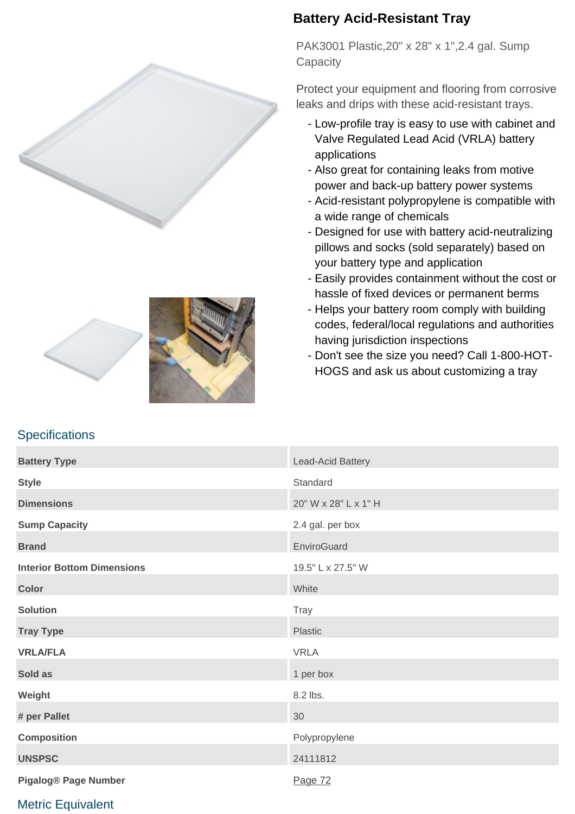



**Specifications** 



## **Battery Acid-Resistant Tray**

PAK3001 Plastic,20" x 28" x 1",2.4 gal. Sump **Capacity** 

Protect your equipment and flooring from corrosive leaks and drips with these acid-resistant trays.

- Low-profile tray is easy to use with cabinet and Valve Regulated Lead Acid (VRLA) battery applications
- Also great for containing leaks from motive power and back-up battery power systems
- Acid-resistant polypropylene is compatible with a wide range of chemicals
- Designed for use with battery acid-neutralizing pillows and socks (sold separately) based on your battery type and application
- Easily provides containment without the cost or hassle of fixed devices or permanent berms
- Helps your battery room comply with building codes, federal/local regulations and authorities having jurisdiction inspections
- Don't see the size you need? Call 1-800-HOT-HOGS and ask us about customizing a tray

| <b>Battery Type</b>               | Lead-Acid Battery    |
|-----------------------------------|----------------------|
| <b>Style</b>                      | Standard             |
| <b>Dimensions</b>                 | 20" W x 28" L x 1" H |
| <b>Sump Capacity</b>              | 2.4 gal. per box     |
| <b>Brand</b>                      | EnviroGuard          |
| <b>Interior Bottom Dimensions</b> | 19.5" L x 27.5" W    |
| <b>Color</b>                      | White                |
| <b>Solution</b>                   | Tray                 |
| <b>Tray Type</b>                  | Plastic              |
| <b>VRLA/FLA</b>                   | <b>VRLA</b>          |
| Sold as                           | 1 per box            |
| Weight                            | 8.2 lbs.             |
| # per Pallet                      | 30                   |
| <b>Composition</b>                | Polypropylene        |
| <b>UNSPSC</b>                     | 24111812             |
| <b>Pigalog® Page Number</b>       | Page 72              |

## Metric Equivalent